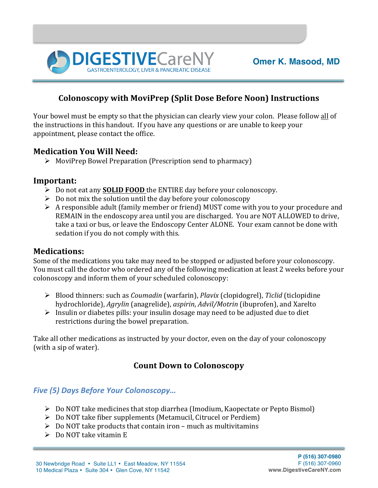

## **Colonoscopy with MoviPrep (Split Dose Before Noon) Instructions**

Your bowel must be empty so that the physician can clearly view your colon. Please follow all of the instructions in this handout. If you have any questions or are unable to keep your appointment, please contact the office.

### **Medication You Will Need:**

 $\triangleright$  MoviPrep Bowel Preparation (Prescription send to pharmacy)

**DIGESTIVE**CareM

### **Important:**

- **►** Do not eat any **SOLID FOOD** the ENTIRE day before your colonoscopy.
- $\triangleright$  Do not mix the solution until the day before your colonoscopy
- $\triangleright$  A responsible adult (family member or friend) MUST come with you to your procedure and REMAIN in the endoscopy area until you are discharged. You are NOT ALLOWED to drive, take a taxi or bus, or leave the Endoscopy Center ALONE. Your exam cannot be done with sedation if you do not comply with this.

### **Medications:**

Some of the medications you take may need to be stopped or adjusted before your colonoscopy. You must call the doctor who ordered any of the following medication at least 2 weeks before your colonoscopy and inform them of your scheduled colonoscopy:

- Ø Blood thinners: such as *Coumadin* (warfarin), *Plavix* (clopidogrel), *Ticlid* (ticlopidine hydrochloride), *Agrylin* (anagrelide), *aspirin*, *Advil/Motrin* (ibuprofen), and Xarelto
- $\triangleright$  Insulin or diabetes pills: your insulin dosage may need to be adjusted due to diet restrictions during the bowel preparation.

Take all other medications as instructed by your doctor, even on the day of your colonoscopy (with a sip of water).

### **Count Down to Colonoscopy**

#### *Five (5) Days Before Your Colonoscopy…*

- $\triangleright$  Do NOT take medicines that stop diarrhea (Imodium, Kaopectate or Pepto Bismol)
- $\triangleright$  Do NOT take fiber supplements (Metamucil, Citrucel or Perdiem)
- $\triangleright$  Do NOT take products that contain iron much as multivitamins
- $\triangleright$  Do NOT take vitamin E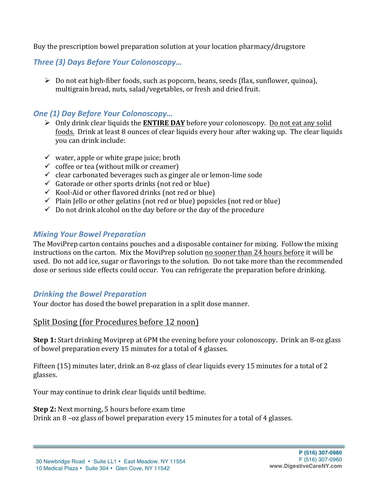Buy the prescription bowel preparation solution at your location pharmacy/drugstore

**Three (3) Days Before Your Colonoscopy...** 

 $\triangleright$  Do not eat high-fiber foods, such as popcorn, beans, seeds (flax, sunflower, quinoa), multigrain bread, nuts, salad/vegetables, or fresh and dried fruit.

# **One (1) Day Before Your Colonoscopy...**

- $\triangleright$  Only drink clear liquids the **ENTIRE DAY** before your colonoscopy. Do not eat any solid foods. Drink at least 8 ounces of clear liquids every hour after waking up. The clear liquids you can drink include:
- $\checkmark$  water, apple or white grape juice; broth
- $\checkmark$  coffee or tea (without milk or creamer)
- $\checkmark$  clear carbonated beverages such as ginger ale or lemon-lime sode
- $\checkmark$  Gatorade or other sports drinks (not red or blue)
- $\checkmark$  Kool-Aid or other flavored drinks (not red or blue)
- $\checkmark$  Plain Jello or other gelatins (not red or blue) popsicles (not red or blue)
- $\checkmark$  Do not drink alcohol on the day before or the day of the procedure

### *Mixing Your Bowel Preparation*

The MoviPrep carton contains pouches and a disposable container for mixing. Follow the mixing instructions on the carton. Mix the MoviPrep solution no sooner than 24 hours before it will be used. Do not add ice, sugar or flavorings to the solution. Do not take more than the recommended dose or serious side effects could occur. You can refrigerate the preparation before drinking.

### **Drinking the Bowel Preparation**

Your doctor has dosed the bowel preparation in a split dose manner.

### Split Dosing (for Procedures before 12 noon)

**Step 1:** Start drinking Moviprep at 6PM the evening before your colonoscopy. Drink an 8-oz glass of bowel preparation every 15 minutes for a total of 4 glasses.

Fifteen (15) minutes later, drink an 8-oz glass of clear liquids every 15 minutes for a total of 2 glasses.

Your may continue to drink clear liquids until bedtime.

#### **Step 2:** Next morning, 5 hours before exam time

Drink an  $8$  –oz glass of bowel preparation every 15 minutes for a total of 4 glasses.